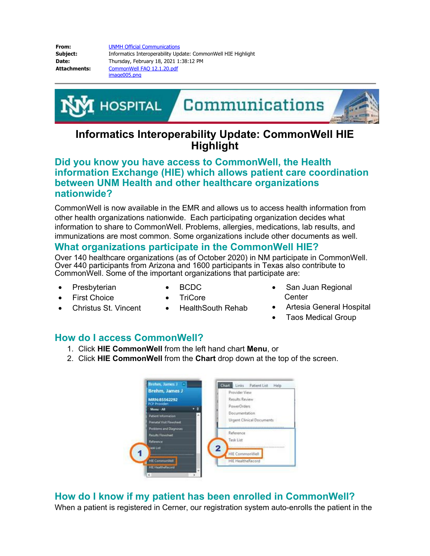**From:** [UNMH Official Communications](mailto:/O=UNMEXCHANGE/OU=EXCHANGE ADMINISTRATIVE GROUP (FYDIBOHF23SPDLT)/CN=RECIPIENTS/CN=5BEF78D6BC9148A281128A88045CC6CA-UNMH OFFICIA) **Subject:** Informatics Interoperability Update: CommonWell HIE Highlight **Date:** Thursday, February 18, 2021 1:38:12 PM Attachments: CommonWell FAQ 12.1.20.pdf image005.png



## **Informatics Interoperability Update: CommonWell HIE Highlight**

## **Did you know you have access to CommonWell, the Health information Exchange (HIE) which allows patient care coordination between UNM Health and other healthcare organizations nationwide?**

CommonWell is now available in the EMR and allows us to access health information from other health organizations nationwide. Each participating organization decides what information to share to CommonWell. Problems, allergies, medications, lab results, and immunizations are most common. Some organizations include other documents as well.

## **What organizations participate in the CommonWell HIE?**

Over 140 healthcare organizations (as of October 2020) in NM participate in CommonWell. Over 440 participants from Arizona and 1600 participants in Texas also contribute to CommonWell. Some of the important organizations that participate are:

• HealthSouth Rehab

- Presbyterian
- · BCDC
- · First Choice

Christus St. Vincent

· TriCore

- San Juan Regional **Center**
- · Artesia General Hospital
	- **Taos Medical Group**

## **How do I access CommonWell?**

- 1. Click **HIE CommonWell** from the left hand chart **Menu**, or
- 2. Click **HIE CommonWell** from the **Chart** drop down at the top of the screen.



**How do I know if my patient has been enrolled in CommonWell?**

When a patient is registered in Cerner, our registration system auto-enrolls the patient in the